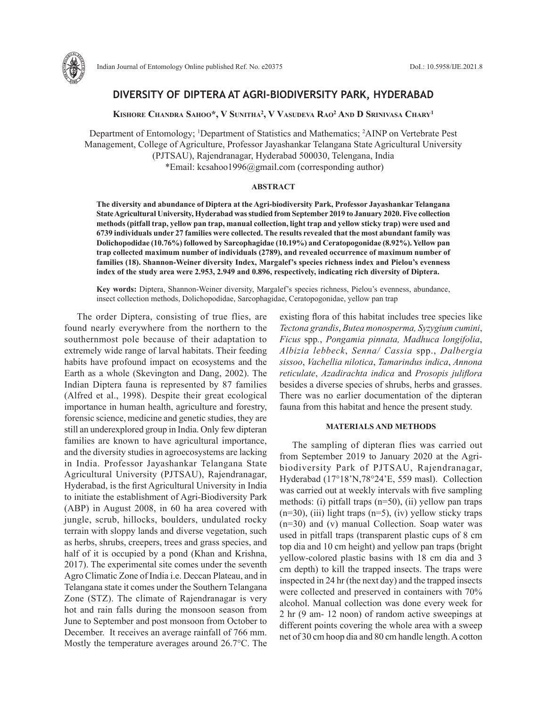

# **DIVERSITY OF DIPTERA AT AGRI-BIODIVERSITY PARK, HYDERABAD**

**Kishore Chandra Sahoo\*, V Sunitha2 , V Vasudeva Rao2 And D Srinivasa Chary1**

Department of Entomology; 1 Department of Statistics and Mathematics; 2 AINP on Vertebrate Pest Management, College of Agriculture, Professor Jayashankar Telangana State Agricultural University (PJTSAU), Rajendranagar, Hyderabad 500030, Telengana, India \*Email: kcsahoo1996@gmail.com (corresponding author)

# **ABSTRACT**

**The diversity and abundance of Diptera at the Agri-biodiversity Park, Professor Jayashankar Telangana State Agricultural University, Hyderabad was studied from September 2019 to January 2020. Five collection methods (pitfall trap, yellow pan trap, manual collection, light trap and yellow sticky trap) were used and 6739 individuals under 27 families were collected. The results revealed that the most abundant family was Dolichopodidae (10.76%) followed by Sarcophagidae (10.19%) and Ceratopogonidae (8.92%). Yellow pan trap collected maximum number of individuals (2789), and revealed occurrence of maximum number of families (18). Shannon-Weiner diversity Index, Margalef's species richness index and Pielou's evenness index of the study area were 2.953, 2.949 and 0.896, respectively, indicating rich diversity of Diptera.**

**Key words:** Diptera, Shannon-Weiner diversity, Margalef's species richness, Pielou's evenness, abundance, insect collection methods, Dolichopodidae, Sarcophagidae, Ceratopogonidae, yellow pan trap

The order Diptera, consisting of true flies, are found nearly everywhere from the northern to the southernmost pole because of their adaptation to extremely wide range of larval habitats. Their feeding habits have profound impact on ecosystems and the Earth as a whole (Skevington and Dang, 2002). The Indian Diptera fauna is represented by 87 families (Alfred et al., 1998). Despite their great ecological importance in human health, agriculture and forestry, forensic science, medicine and genetic studies, they are still an underexplored group in India. Only few dipteran families are known to have agricultural importance, and the diversity studies in agroecosystems are lacking in India. Professor Jayashankar Telangana State Agricultural University (PJTSAU), Rajendranagar, Hyderabad, is the first Agricultural University in India to initiate the establishment of Agri-Biodiversity Park (ABP) in August 2008, in 60 ha area covered with jungle, scrub, hillocks, boulders, undulated rocky terrain with sloppy lands and diverse vegetation, such as herbs, shrubs, creepers, trees and grass species, and half of it is occupied by a pond (Khan and Krishna, 2017). The experimental site comes under the seventh Agro Climatic Zone of India i.e. Deccan Plateau, and in Telangana state it comes under the Southern Telangana Zone (STZ). The climate of Rajendranagar is very hot and rain falls during the monsoon season from June to September and post monsoon from October to December. It receives an average rainfall of 766 mm. Mostly the temperature averages around 26.7°C. The

existing flora of this habitat includes tree species like *Tectona grandis*, *Butea monosperma, Syzygium cumini*, *Ficus* spp*.*, *Pongamia pinnata, Madhuca longifolia*, *Albizia lebbeck*, *Senna/ Cassia* spp., *Dalbergia sissoo*, *Vachellia nilotica*, *Tamarindus indica*, *Annona reticulate*, *Azadirachta indica* and *Prosopis juliflora* besides a diverse species of shrubs, herbs and grasses. There was no earlier documentation of the dipteran fauna from this habitat and hence the present study.

### **MATERIALS AND METHODS**

The sampling of dipteran flies was carried out from September 2019 to January 2020 at the Agribiodiversity Park of PJTSAU, Rajendranagar, Hyderabad (17°18'N,78°24'E, 559 masl). Collection was carried out at weekly intervals with five sampling methods: (i) pitfall traps (n=50), (ii) yellow pan traps  $(n=30)$ , (iii) light traps  $(n=5)$ , (iv) yellow sticky traps (n=30) and (v) manual Collection. Soap water was used in pitfall traps (transparent plastic cups of 8 cm top dia and 10 cm height) and yellow pan traps (bright yellow-colored plastic basins with 18 cm dia and 3 cm depth) to kill the trapped insects. The traps were inspected in 24 hr (the next day) and the trapped insects were collected and preserved in containers with 70% alcohol. Manual collection was done every week for 2 hr (9 am- 12 noon) of random active sweepings at different points covering the whole area with a sweep net of 30 cm hoop dia and 80 cm handle length. A cotton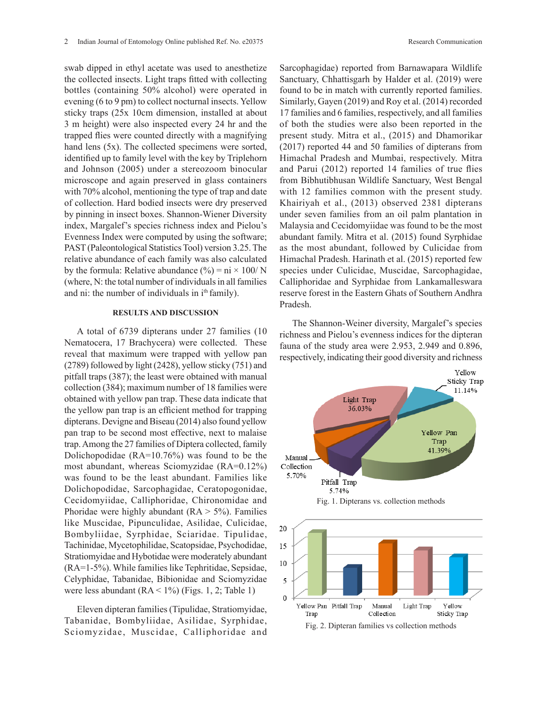swab dipped in ethyl acetate was used to anesthetize the collected insects. Light traps fitted with collecting bottles (containing 50% alcohol) were operated in evening (6 to 9 pm) to collect nocturnal insects. Yellow sticky traps (25x 10cm dimension, installed at about 3 m height) were also inspected every 24 hr and the trapped flies were counted directly with a magnifying hand lens (5x). The collected specimens were sorted, identified up to family level with the key by Triplehorn and Johnson (2005) under a stereozoom binocular microscope and again preserved in glass containers with 70% alcohol, mentioning the type of trap and date of collection. Hard bodied insects were dry preserved by pinning in insect boxes. Shannon-Wiener Diversity index, Margalef's species richness index and Pielou's Evenness Index were computed by using the software; PAST (Paleontological Statistics Tool) version 3.25. The relative abundance of each family was also calculated by the formula: Relative abundance  $(\% ) = \text{ni} \times 100 / \text{N}$ (where, N: the total number of individuals in all families and ni: the number of individuals in  $i<sup>th</sup>$  family).

## **RESULTS AND DISCUSSION**

A total of 6739 dipterans under 27 families (10 Nematocera, 17 Brachycera) were collected. These reveal that maximum were trapped with yellow pan (2789) followed by light (2428), yellow sticky (751) and pitfall traps (387); the least were obtained with manual collection (384); maximum number of 18 families were obtained with yellow pan trap. These data indicate that the yellow pan trap is an efficient method for trapping dipterans. Devigne and Biseau (2014) also found yellow pan trap to be second most effective, next to malaise trap. Among the 27 families of Diptera collected, family Dolichopodidae (RA=10.76%) was found to be the most abundant, whereas Sciomyzidae (RA=0.12%) was found to be the least abundant. Families like Dolichopodidae, Sarcophagidae, Ceratopogonidae, Cecidomyiidae, Calliphoridae, Chironomidae and Phoridae were highly abundant  $(RA > 5\%)$ . Families like Muscidae, Pipunculidae, Asilidae, Culicidae, Bombyliidae, Syrphidae, Sciaridae. Tipulidae, Tachinidae, Mycetophilidae, Scatopsidae, Psychodidae, Stratiomyidae and Hybotidae were moderately abundant (RA=1-5%). While families like Tephritidae, Sepsidae, Celyphidae, Tabanidae, Bibionidae and Sciomyzidae were less abundant  $(RA < 1\%)$  (Figs. 1, 2; Table 1)

Eleven dipteran families (Tipulidae, Stratiomyidae, Tabanidae, Bombyliidae, Asilidae, Syrphidae, Fig. 2. Dipteran families vs collection methods Sciomyzidae, Muscidae, Calliphoridae and

Sarcophagidae) reported from Barnawapara Wildlife Sanctuary, Chhattisgarh by Halder et al. (2019) were found to be in match with currently reported families. Similarly, Gayen (2019) and Roy et al. (2014) recorded 17 families and 6 families, respectively, and all families of both the studies were also been reported in the present study. Mitra et al., (2015) and Dhamorikar (2017) reported 44 and 50 families of dipterans from Himachal Pradesh and Mumbai, respectively. Mitra and Parui (2012) reported 14 families of true flies from Bibhutibhusan Wildlife Sanctuary, West Bengal with 12 families common with the present study. Khairiyah et al., (2013) observed 2381 dipterans under seven families from an oil palm plantation in Malaysia and Cecidomyiidae was found to be the most abundant family. Mitra et al. (2015) found Syrphidae as the most abundant, followed by Culicidae from Himachal Pradesh. Harinath et al. (2015) reported few species under Culicidae, Muscidae, Sarcophagidae, Calliphoridae and Syrphidae from Lankamalleswara reserve forest in the Eastern Ghats of Southern Andhra Pradesh.

The Shannon-Weiner diversity, Margalef's species richness and Pielou's evenness indices for the dipteran fauna of the study area were 2.953, 2.949 and 0.896, respectively, indicating their good diversity and richness

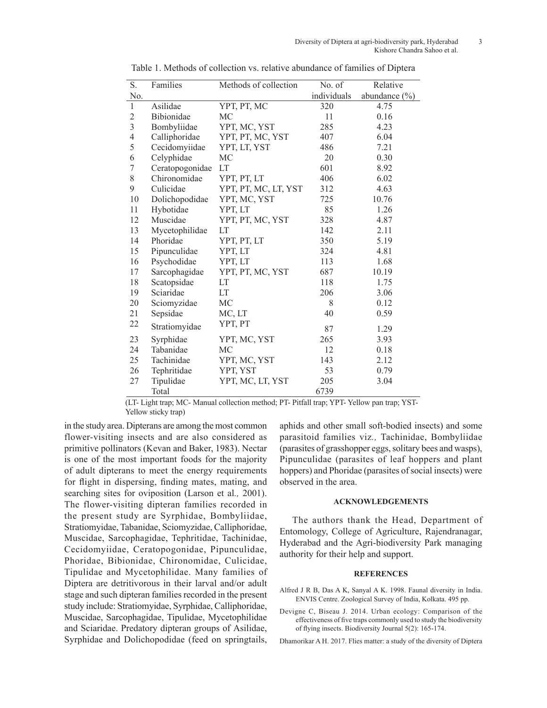| S.             | Families        | Methods of collection | No. of      | Relative          |
|----------------|-----------------|-----------------------|-------------|-------------------|
| No.            |                 |                       | individuals | abundance $(\% )$ |
| $\mathbf{1}$   | Asilidae        | YPT, PT, MC           | 320         | 4.75              |
| $\mathfrak{2}$ | Bibionidae      | MC                    | 11          | 0.16              |
| $\overline{3}$ | Bombyliidae     | YPT, MC, YST          | 285         | 4.23              |
| 4              | Calliphoridae   | YPT, PT, MC, YST      | 407         | 6.04              |
| 5              | Cecidomyiidae   | YPT, LT, YST          | 486         | 7.21              |
| 6              | Celyphidae      | MC                    | 20          | 0.30              |
| 7              | Ceratopogonidae | LT                    | 601         | 8.92              |
| 8              | Chironomidae    | YPT, PT, LT           | 406         | 6.02              |
| 9              | Culicidae       | YPT, PT, MC, LT, YST  | 312         | 4.63              |
| 10             | Dolichopodidae  | YPT, MC, YST          | 725         | 10.76             |
| 11             | Hybotidae       | YPT, LT               | 85          | 1.26              |
| 12             | Muscidae        | YPT, PT, MC, YST      | 328         | 4.87              |
| 13             | Mycetophilidae  | LT                    | 142         | 2.11              |
| 14             | Phoridae        | YPT, PT, LT           | 350         | 5.19              |
| 15             | Pipunculidae    | YPT, LT               | 324         | 4.81              |
| 16             | Psychodidae     | YPT, LT               | 113         | 1.68              |
| 17             | Sarcophagidae   | YPT, PT, MC, YST      | 687         | 10.19             |
| 18             | Scatopsidae     | <b>LT</b>             | 118         | 1.75              |
| 19             | Sciaridae       | LT                    | 206         | 3.06              |
| 20             | Sciomyzidae     | MC                    | 8           | 0.12              |
| 21             | Sepsidae        | MC, LT                | 40          | 0.59              |
| 22             | Stratiomyidae   | YPT, PT               | 87          | 1.29              |
| 23             | Syrphidae       | YPT, MC, YST          | 265         | 3.93              |
| 24             | Tabanidae       | MC                    | 12          | 0.18              |
| 25             | Tachinidae      | YPT, MC, YST          | 143         | 2.12              |
| 26             | Tephritidae     | YPT, YST              | 53          | 0.79              |
| 27             | Tipulidae       | YPT, MC, LT, YST      | 205         | 3.04              |
|                | Total           |                       | 6739        |                   |

Table 1. Methods of collection vs. relative abundance of families of Diptera

(LT- Light trap; MC- Manual collection method; PT- Pitfall trap; YPT- Yellow pan trap; YST-Yellow sticky trap)

in the study area. Dipterans are among the most common flower-visiting insects and are also considered as primitive pollinators (Kevan and Baker, 1983). Nectar is one of the most important foods for the majority of adult dipterans to meet the energy requirements for flight in dispersing, finding mates, mating, and searching sites for oviposition (Larson et al*.,* 2001). The flower-visiting dipteran families recorded in the present study are Syrphidae, Bombyliidae, Stratiomyidae, Tabanidae, Sciomyzidae, Calliphoridae, Muscidae, Sarcophagidae, Tephritidae, Tachinidae, Cecidomyiidae, Ceratopogonidae, Pipunculidae, Phoridae, Bibionidae, Chironomidae, Culicidae, Tipulidae and Mycetophilidae. Many families of Diptera are detritivorous in their larval and/or adult stage and such dipteran families recorded in the present study include: Stratiomyidae, Syrphidae, Calliphoridae, Muscidae, Sarcophagidae, Tipulidae, Mycetophilidae and Sciaridae. Predatory dipteran groups of Asilidae, Syrphidae and Dolichopodidae (feed on springtails, aphids and other small soft-bodied insects) and some parasitoid families viz*.,* Tachinidae, Bombyliidae (parasites of grasshopper eggs, solitary bees and wasps), Pipunculidae (parasites of leaf hoppers and plant hoppers) and Phoridae (parasites of social insects) were observed in the area.

## **ACKNOWLEDGEMENTS**

The authors thank the Head, Department of Entomology, College of Agriculture, Rajendranagar, Hyderabad and the Agri-biodiversity Park managing authority for their help and support.

#### **REFERENCES**

Alfred J R B, Das A K, Sanyal A K. 1998. Faunal diversity in India. ENVIS Centre. Zoological Survey of India, Kolkata. 495 pp.

Devigne C, Biseau J. 2014. Urban ecology: Comparison of the effectiveness of five traps commonly used to study the biodiversity of flying insects. Biodiversity Journal 5(2): 165-174.

Dhamorikar A H. 2017. Flies matter: a study of the diversity of Diptera